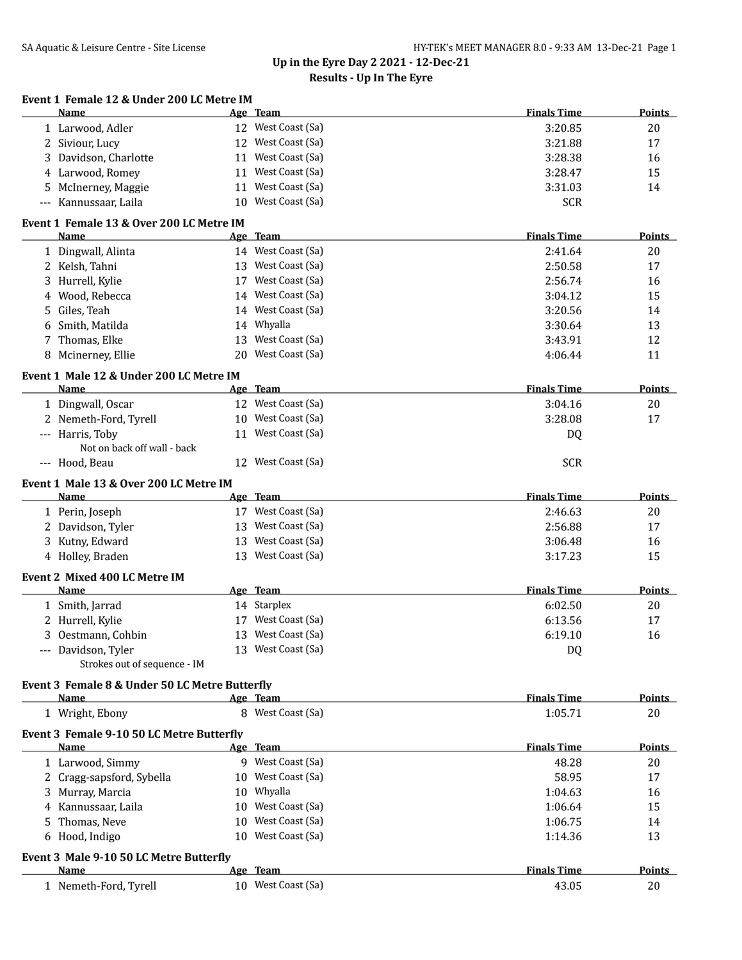| Event 1 Female 12 & Under 200 LC Metre IM |  |  |          |
|-------------------------------------------|--|--|----------|
| $N = 1$                                   |  |  | $\Delta$ |

|    | Name                                                |    | Age Team                                 | <b>Finals Time</b> | <b>Points</b> |
|----|-----------------------------------------------------|----|------------------------------------------|--------------------|---------------|
|    | 1 Larwood, Adler                                    |    | 12 West Coast (Sa)                       | 3:20.85            | 20            |
|    | 2 Siviour, Lucy                                     |    | 12 West Coast (Sa)                       | 3:21.88            | 17            |
| 3  | Davidson, Charlotte                                 |    | 11 West Coast (Sa)                       | 3:28.38            | 16            |
|    | 4 Larwood, Romey                                    |    | 11 West Coast (Sa)                       | 3:28.47            | 15            |
| 5. | McInerney, Maggie                                   |    | 11 West Coast (Sa)                       | 3:31.03            | 14            |
|    | Kannussaar, Laila                                   |    | 10 West Coast (Sa)                       | <b>SCR</b>         |               |
|    | Event 1 Female 13 & Over 200 LC Metre IM            |    |                                          |                    |               |
|    | Name                                                |    | Age Team<br>14 West Coast (Sa)           | <b>Finals Time</b> | <b>Points</b> |
|    | 1 Dingwall, Alinta                                  |    | 13 West Coast (Sa)                       | 2:41.64            | 20            |
|    | 2 Kelsh, Tahni                                      |    | 17 West Coast (Sa)                       | 2:50.58            | 17            |
|    | 3 Hurrell, Kylie                                    |    |                                          | 2:56.74            | 16            |
| 4  | Wood, Rebecca                                       |    | 14 West Coast (Sa)<br>14 West Coast (Sa) | 3:04.12            | 15            |
| 5  | Giles, Teah                                         |    |                                          | 3:20.56            | 14            |
| 6  | Smith, Matilda                                      |    | 14 Whyalla                               | 3:30.64            | 13            |
|    | 7 Thomas, Elke                                      |    | 13 West Coast (Sa)                       | 3:43.91            | 12            |
|    | 8 Mcinerney, Ellie                                  |    | 20 West Coast (Sa)                       | 4:06.44            | 11            |
|    | Event 1 Male 12 & Under 200 LC Metre IM<br>Name     |    | Age Team                                 | <b>Finals Time</b> | <b>Points</b> |
|    | 1 Dingwall, Oscar                                   |    | 12 West Coast (Sa)                       | 3:04.16            | 20            |
|    | 2 Nemeth-Ford, Tyrell                               |    | 10 West Coast (Sa)                       | 3:28.08            | 17            |
|    | --- Harris, Toby                                    |    | 11 West Coast (Sa)                       | DQ                 |               |
|    | Not on back off wall - back                         |    |                                          |                    |               |
|    | --- Hood, Beau                                      |    | 12 West Coast (Sa)                       | <b>SCR</b>         |               |
|    | Event 1 Male 13 & Over 200 LC Metre IM              |    |                                          |                    |               |
|    | Name                                                |    | Age Team                                 | <b>Finals Time</b> | <b>Points</b> |
|    | 1 Perin, Joseph                                     |    | 17 West Coast (Sa)                       | 2:46.63            | 20            |
|    | 2 Davidson, Tyler                                   |    | 13 West Coast (Sa)                       | 2:56.88            | 17            |
|    | 3 Kutny, Edward                                     |    | 13 West Coast (Sa)                       | 3:06.48            | 16            |
|    | 4 Holley, Braden                                    |    | 13 West Coast (Sa)                       | 3:17.23            | 15            |
|    | Event 2 Mixed 400 LC Metre IM                       |    |                                          |                    |               |
|    | Name                                                |    | Age Team                                 | <b>Finals Time</b> | <b>Points</b> |
|    | 1 Smith, Jarrad                                     |    | 14 Starplex                              | 6:02.50            | 20            |
|    | 2 Hurrell, Kylie                                    |    | 17 West Coast (Sa)                       | 6:13.56            | 17            |
|    | 3 Oestmann, Cohbin                                  |    | 13 West Coast (Sa)                       | 6:19.10            | 16            |
|    | --- Davidson, Tyler<br>Strokes out of sequence - IM |    | 13 West Coast (Sa)                       | DQ                 |               |
|    | Event 3 Female 8 & Under 50 LC Metre Butterfly      |    |                                          |                    |               |
|    | Name                                                |    | Age Team                                 | <b>Finals Time</b> | <b>Points</b> |
|    | 1 Wright, Ebony                                     |    | 8 West Coast (Sa)                        | 1:05.71            | 20            |
|    | Event 3 Female 9-10 50 LC Metre Butterfly           |    |                                          |                    |               |
|    | Name                                                |    | Age Team                                 | <b>Finals Time</b> | <b>Points</b> |
|    | 1 Larwood, Simmy                                    |    | 9 West Coast (Sa)                        | 48.28              | 20            |
|    | 2 Cragg-sapsford, Sybella                           |    | 10 West Coast (Sa)                       | 58.95              | 17            |
|    | 3 Murray, Marcia                                    | 10 | Whyalla                                  | 1:04.63            | 16            |
|    | 4 Kannussaar, Laila                                 | 10 | West Coast (Sa)                          | 1:06.64            | 15            |
| 5. | Thomas, Neve                                        | 10 | West Coast (Sa)                          | 1:06.75            | 14            |
|    | 6 Hood, Indigo                                      |    | 10 West Coast (Sa)                       | 1:14.36            | 13            |
|    | Event 3 Male 9-10 50 LC Metre Butterfly             |    |                                          |                    |               |
|    | Name                                                |    | Age Team                                 | <b>Finals Time</b> | <b>Points</b> |
|    | 1 Nemeth-Ford, Tyrell                               |    | 10 West Coast (Sa)                       | 43.05              | 20            |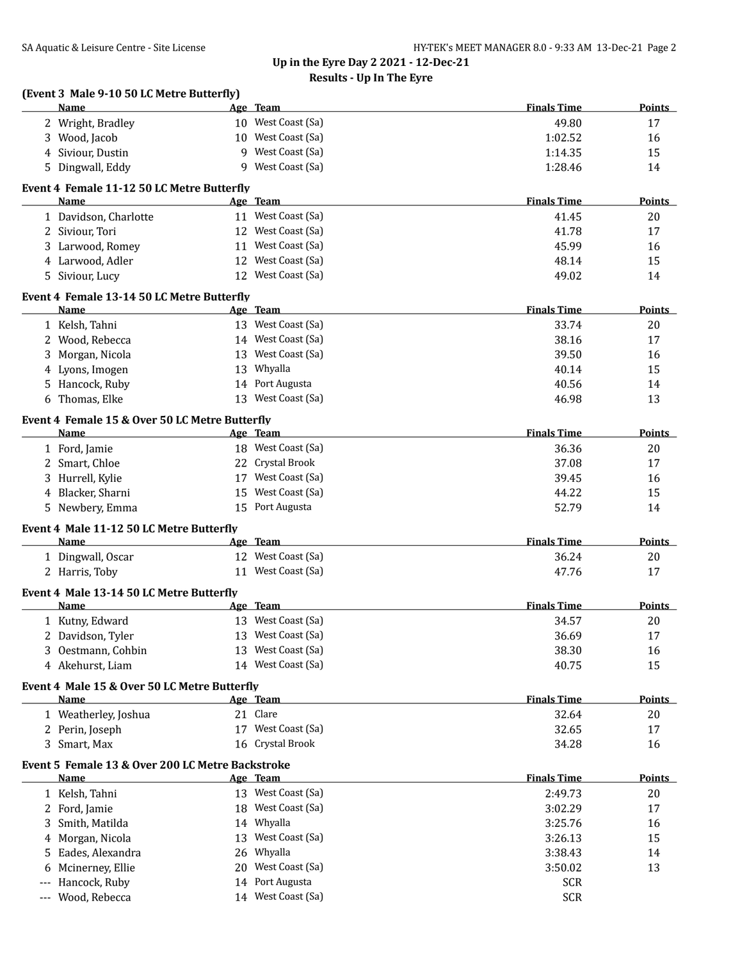| (Event 3 Male 9-10 50 LC Metre Butterfly)                 |                    | <b>Finals Time</b> | Points        |
|-----------------------------------------------------------|--------------------|--------------------|---------------|
| Name                                                      | Age Team           |                    |               |
| 2 Wright, Bradley                                         | 10 West Coast (Sa) | 49.80              | 17            |
| 3 Wood, Jacob                                             | 10 West Coast (Sa) | 1:02.52            | 16            |
| 4 Siviour, Dustin                                         | 9 West Coast (Sa)  | 1:14.35            | 15            |
| 5 Dingwall, Eddy                                          | 9 West Coast (Sa)  | 1:28.46            | 14            |
| Event 4 Female 11-12 50 LC Metre Butterfly<br>Name        | Age Team           | <b>Finals Time</b> | <b>Points</b> |
| 1 Davidson, Charlotte                                     | 11 West Coast (Sa) | 41.45              | 20            |
| 2 Siviour, Tori                                           | 12 West Coast (Sa) | 41.78              | 17            |
| 3 Larwood, Romey                                          | 11 West Coast (Sa) | 45.99              | 16            |
| 4 Larwood, Adler                                          | 12 West Coast (Sa) | 48.14              | 15            |
|                                                           | 12 West Coast (Sa) |                    |               |
| 5 Siviour, Lucy                                           |                    | 49.02              | 14            |
| Event 4 Female 13-14 50 LC Metre Butterfly<br><b>Name</b> | Age Team           | <b>Finals Time</b> | <b>Points</b> |
| 1 Kelsh, Tahni                                            | 13 West Coast (Sa) | 33.74              | 20            |
|                                                           |                    |                    |               |
| 2 Wood, Rebecca                                           | 14 West Coast (Sa) | 38.16              | 17            |
| 3 Morgan, Nicola                                          | 13 West Coast (Sa) | 39.50              | 16            |
| 4 Lyons, Imogen                                           | 13 Whyalla         | 40.14              | 15            |
| 5 Hancock, Ruby                                           | 14 Port Augusta    | 40.56              | 14            |
| 6 Thomas, Elke                                            | 13 West Coast (Sa) | 46.98              | 13            |
| Event 4 Female 15 & Over 50 LC Metre Butterfly            |                    | <b>Finals Time</b> |               |
| Name                                                      | Age Team           |                    | Points        |
| 1 Ford, Jamie                                             | 18 West Coast (Sa) | 36.36              | 20            |
| 2 Smart, Chloe                                            | 22 Crystal Brook   | 37.08              | 17            |
| 3 Hurrell, Kylie                                          | 17 West Coast (Sa) | 39.45              | 16            |
| 4 Blacker, Sharni                                         | 15 West Coast (Sa) | 44.22              | 15            |
| 5 Newbery, Emma                                           | 15 Port Augusta    | 52.79              | 14            |
| Event 4 Male 11-12 50 LC Metre Butterfly<br>Name          | Age Team           | <b>Finals Time</b> | <b>Points</b> |
| 1 Dingwall, Oscar                                         | 12 West Coast (Sa) | 36.24              | 20            |
| 2 Harris, Toby                                            | 11 West Coast (Sa) | 47.76              | 17            |
|                                                           |                    |                    |               |
| Event 4 Male 13-14 50 LC Metre Butterfly<br>Name          | Age Team           | <b>Finals Time</b> | Points        |
| 1 Kutny, Edward                                           | 13 West Coast (Sa) | 34.57              | 20            |
| 2 Davidson, Tyler                                         | 13 West Coast (Sa) | 36.69              | 17            |
| Oestmann, Cohbin<br>3                                     | 13 West Coast (Sa) | 38.30              | 16            |
| 4 Akehurst, Liam                                          | 14 West Coast (Sa) | 40.75              | 15            |
|                                                           |                    |                    |               |
| Event 4 Male 15 & Over 50 LC Metre Butterfly<br>Name      | Age Team           | <b>Finals Time</b> | <b>Points</b> |
| 1 Weatherley, Joshua                                      | 21 Clare           | 32.64              | 20            |
| 2 Perin, Joseph                                           | 17 West Coast (Sa) | 32.65              | 17            |
| 3 Smart, Max                                              | 16 Crystal Brook   | 34.28              | 16            |
| Event 5 Female 13 & Over 200 LC Metre Backstroke          |                    |                    |               |
| Name                                                      | Age Team           | <b>Finals Time</b> | Points        |
| 1 Kelsh, Tahni                                            | 13 West Coast (Sa) | 2:49.73            | 20            |
| 2 Ford, Jamie                                             | 18 West Coast (Sa) | 3:02.29            | 17            |
| 3 Smith, Matilda                                          | 14 Whyalla         | 3:25.76            | 16            |
| 4 Morgan, Nicola                                          | 13 West Coast (Sa) | 3:26.13            | 15            |
| Eades, Alexandra<br>5.                                    | 26 Whyalla         | 3:38.43            | 14            |
| Mcinerney, Ellie<br>6                                     | 20 West Coast (Sa) | 3:50.02            | 13            |
| Hancock, Ruby                                             | 14 Port Augusta    | <b>SCR</b>         |               |
| Wood, Rebecca                                             | 14 West Coast (Sa) | <b>SCR</b>         |               |
|                                                           |                    |                    |               |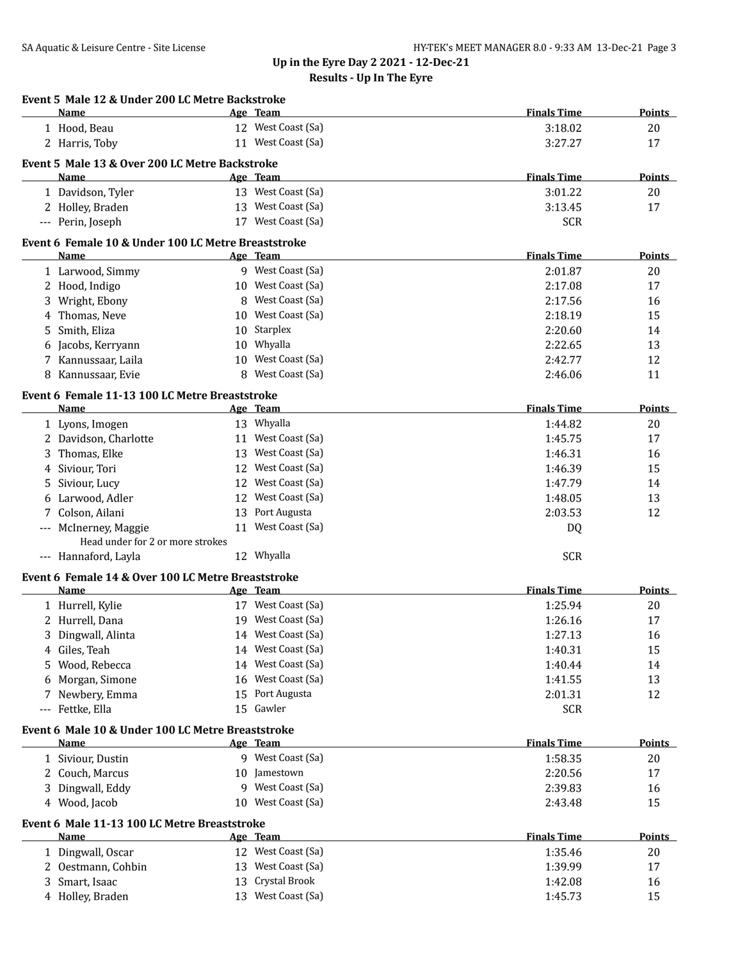| Name                                  |                                                     | Age Team                              | <b>Finals Time</b> | Points                    |
|---------------------------------------|-----------------------------------------------------|---------------------------------------|--------------------|---------------------------|
| 1 Hood, Beau                          |                                                     | 12 West Coast (Sa)                    | 3:18.02            | 20                        |
| 2 Harris, Toby                        |                                                     | 11 West Coast (Sa)                    | 3:27.27            | 17                        |
|                                       |                                                     |                                       |                    |                           |
| <b>Name</b>                           | Event 5 Male 13 & Over 200 LC Metre Backstroke      | Age Team                              | <b>Finals Time</b> | Points                    |
| 1 Davidson, Tyler                     |                                                     | 13 West Coast (Sa)                    | 3:01.22            | 20                        |
| 2 Holley, Braden                      |                                                     | 13 West Coast (Sa)                    | 3:13.45            | 17                        |
| --- Perin, Joseph                     |                                                     | 17 West Coast (Sa)                    | <b>SCR</b>         |                           |
|                                       |                                                     |                                       |                    |                           |
|                                       | Event 6 Female 10 & Under 100 LC Metre Breaststroke |                                       |                    |                           |
| Name                                  |                                                     | Age Team                              | <b>Finals Time</b> | <b>Points</b>             |
| 1 Larwood, Simmy                      |                                                     | 9 West Coast (Sa)                     | 2:01.87            | 20                        |
| 2 Hood, Indigo                        |                                                     | 10 West Coast (Sa)                    | 2:17.08            | 17                        |
| Wright, Ebony<br>3                    | 8                                                   | West Coast (Sa)                       | 2:17.56            | 16                        |
| Thomas, Neve<br>4                     |                                                     | 10 West Coast (Sa)                    | 2:18.19            | 15                        |
| Smith, Eliza<br>5                     |                                                     | 10 Starplex                           | 2:20.60            | 14                        |
| Jacobs, Kerryann<br>6                 |                                                     | 10 Whyalla                            | 2:22.65            | 13                        |
| Kannussaar, Laila<br>7                |                                                     | 10 West Coast (Sa)                    | 2:42.77            | 12                        |
| Kannussaar, Evie<br>8                 | 8                                                   | West Coast (Sa)                       | 2:46.06            | 11                        |
|                                       | Event 6 Female 11-13 100 LC Metre Breaststroke      |                                       |                    |                           |
| Name                                  |                                                     | Age Team                              | <b>Finals Time</b> | <b>Points</b>             |
| 1 Lyons, Imogen                       |                                                     | 13 Whyalla                            | 1:44.82            | 20                        |
| 2 Davidson, Charlotte                 |                                                     | 11 West Coast (Sa)                    | 1:45.75            | 17                        |
| Thomas, Elke                          |                                                     | 13 West Coast (Sa)                    | 1:46.31            | 16                        |
| Siviour, Tori<br>4                    |                                                     | 12 West Coast (Sa)                    | 1:46.39            | 15                        |
| Siviour, Lucy<br>5                    |                                                     | 12 West Coast (Sa)                    | 1:47.79            | 14                        |
| Larwood, Adler<br>6                   |                                                     | 12 West Coast (Sa)                    | 1:48.05            | 13                        |
| Colson, Ailani<br>7                   |                                                     | 13 Port Augusta                       | 2:03.53            | 12                        |
| --- McInerney, Maggie                 |                                                     | 11 West Coast (Sa)                    | DQ                 |                           |
|                                       | Head under for 2 or more strokes                    |                                       |                    |                           |
| --- Hannaford, Layla                  |                                                     | 12 Whyalla                            | <b>SCR</b>         |                           |
|                                       | Event 6 Female 14 & Over 100 LC Metre Breaststroke  |                                       |                    |                           |
| Name                                  |                                                     | Age Team                              | <b>Finals Time</b> | <b>Points</b>             |
| 1 Hurrell, Kylie                      |                                                     | 17 West Coast (Sa)                    | 1:25.94            | 20                        |
| 2 Hurrell, Dana                       |                                                     | 19 West Coast (Sa)                    | 1:26.16            | 17                        |
| 3<br>Dingwall, Alinta                 |                                                     | 14 West Coast (Sa)                    | 1:27.13            | 16                        |
|                                       |                                                     | 14 West Coast (Sa)                    | 1:40.31            |                           |
| 4 Giles, Teah<br>Wood, Rebecca<br>5   |                                                     |                                       |                    | 15                        |
|                                       |                                                     |                                       |                    |                           |
|                                       |                                                     | 14 West Coast (Sa)                    | 1:40.44            | 14                        |
| Morgan, Simone<br>6                   |                                                     | 16 West Coast (Sa)                    | 1:41.55            | 13                        |
| Newbery, Emma<br>7                    | 15                                                  | Port Augusta                          | 2:01.31            | 12                        |
| Fettke, Ella<br>---                   |                                                     | 15 Gawler                             | <b>SCR</b>         |                           |
|                                       | Event 6 Male 10 & Under 100 LC Metre Breaststroke   |                                       |                    |                           |
| Name                                  |                                                     | Age Team                              | <b>Finals Time</b> |                           |
| 1 Siviour, Dustin                     |                                                     | 9 West Coast (Sa)                     | 1:58.35            | 20                        |
| Couch, Marcus<br>2                    |                                                     | 10 Jamestown                          | 2:20.56            | 17                        |
| Dingwall, Eddy                        | 9                                                   | West Coast (Sa)                       | 2:39.83            | 16                        |
| 4 Wood, Jacob                         |                                                     | 10 West Coast (Sa)                    | 2:43.48            | 15                        |
|                                       |                                                     |                                       |                    | <b>Points</b>             |
| Name                                  | Event 6 Male 11-13 100 LC Metre Breaststroke        | <u>Age Team</u>                       | <b>Finals Time</b> |                           |
|                                       |                                                     |                                       |                    |                           |
| 1 Dingwall, Oscar<br>2                | 13                                                  | 12 West Coast (Sa)<br>West Coast (Sa) | 1:35.46            | 20                        |
| Oestmann, Cohbin<br>Smart, Isaac<br>3 | 13                                                  | Crystal Brook                         | 1:39.99<br>1:42.08 | <b>Points</b><br>17<br>16 |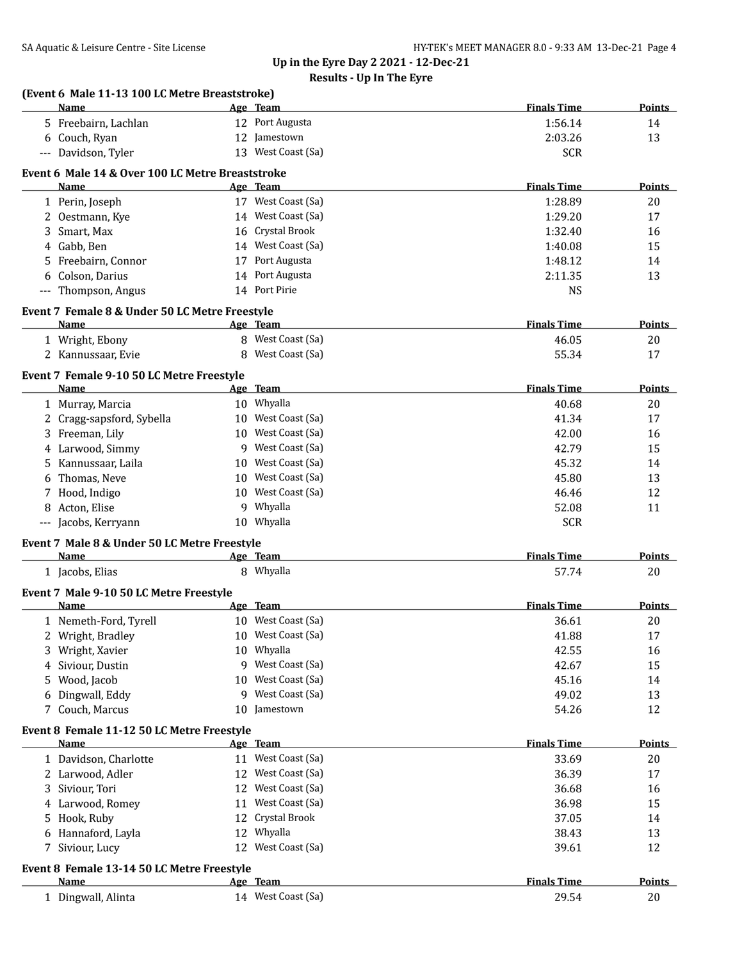| Name                                                   |    | Age Team           | <b>Finals Time</b> | Points        |
|--------------------------------------------------------|----|--------------------|--------------------|---------------|
| 5 Freebairn, Lachlan                                   |    | 12 Port Augusta    | 1:56.14            | 14            |
| 6 Couch, Ryan                                          |    | 12 Jamestown       | 2:03.26            | 13            |
| --- Davidson, Tyler                                    |    | 13 West Coast (Sa) | <b>SCR</b>         |               |
| Event 6 Male 14 & Over 100 LC Metre Breaststroke       |    |                    |                    |               |
| <b>Name</b>                                            |    | Age Team           | <b>Finals Time</b> | <b>Points</b> |
| 1 Perin, Joseph                                        |    | 17 West Coast (Sa) | 1:28.89            | 20            |
| 2 Oestmann, Kye                                        |    | 14 West Coast (Sa) | 1:29.20            | 17            |
| 3 Smart, Max                                           |    | 16 Crystal Brook   | 1:32.40            | 16            |
| 4 Gabb, Ben                                            |    | 14 West Coast (Sa) | 1:40.08            | 15            |
| 5 Freebairn, Connor                                    |    | 17 Port Augusta    | 1:48.12            | 14            |
| 6 Colson, Darius                                       |    | 14 Port Augusta    | 2:11.35            | 13            |
| --- Thompson, Angus                                    |    | 14 Port Pirie      | <b>NS</b>          |               |
|                                                        |    |                    |                    |               |
| Event 7 Female 8 & Under 50 LC Metre Freestyle<br>Name |    | Age Team           | <b>Finals Time</b> | Points        |
| 1 Wright, Ebony                                        |    | 8 West Coast (Sa)  | 46.05              | 20            |
| 2 Kannussaar, Evie                                     |    | 8 West Coast (Sa)  | 55.34              | 17            |
|                                                        |    |                    |                    |               |
| Event 7 Female 9-10 50 LC Metre Freestyle              |    |                    |                    |               |
| Name                                                   |    | Age Team           | <b>Finals Time</b> | Points        |
| 1 Murray, Marcia                                       |    | 10 Whyalla         | 40.68              | 20            |
| 2 Cragg-sapsford, Sybella                              |    | 10 West Coast (Sa) | 41.34              | 17            |
| 3 Freeman, Lily                                        |    | 10 West Coast (Sa) | 42.00              | 16            |
| 4 Larwood, Simmy                                       |    | 9 West Coast (Sa)  | 42.79              | 15            |
| 5 Kannussaar, Laila                                    |    | 10 West Coast (Sa) | 45.32              | 14            |
| 6 Thomas, Neve                                         |    | 10 West Coast (Sa) | 45.80              | 13            |
| 7 Hood, Indigo                                         |    | 10 West Coast (Sa) | 46.46              | 12            |
| 8 Acton, Elise                                         |    | 9 Whyalla          | 52.08              | 11            |
| --- Jacobs, Kerryann                                   |    | 10 Whyalla         | <b>SCR</b>         |               |
| Event 7 Male 8 & Under 50 LC Metre Freestyle           |    |                    |                    |               |
| Name                                                   |    | Age Team           | <b>Finals Time</b> | Points        |
| 1 Jacobs, Elias                                        |    | 8 Whyalla          | 57.74              | 20            |
| Event 7 Male 9-10 50 LC Metre Freestyle                |    |                    |                    |               |
| <b>Name</b>                                            |    | Age Team           | <b>Finals Time</b> | <b>Points</b> |
| 1 Nemeth-Ford, Tyrell                                  |    | 10 West Coast (Sa) | 36.61              | 20            |
| Wright, Bradley                                        |    | 10 West Coast (Sa) | 41.88              | 17            |
| Wright, Xavier<br>3                                    |    | 10 Whyalla         | 42.55              | 16            |
| Siviour, Dustin<br>4                                   |    | 9 West Coast (Sa)  | 42.67              | 15            |
| 5 Wood, Jacob                                          |    | 10 West Coast (Sa) | 45.16              | 14            |
| 6 Dingwall, Eddy                                       |    | 9 West Coast (Sa)  | 49.02              | 13            |
| 7 Couch, Marcus                                        |    | 10 Jamestown       | 54.26              | 12            |
| Event 8 Female 11-12 50 LC Metre Freestyle             |    |                    |                    |               |
| Name                                                   |    | Age Team           | <b>Finals Time</b> | <b>Points</b> |
| 1 Davidson, Charlotte                                  |    | 11 West Coast (Sa) | 33.69              | 20            |
| 2 Larwood, Adler                                       |    | 12 West Coast (Sa) | 36.39              | 17            |
| 3 Siviour, Tori                                        |    | 12 West Coast (Sa) | 36.68              | 16            |
| 4 Larwood, Romey                                       |    | 11 West Coast (Sa) | 36.98              | 15            |
| 5 Hook, Ruby                                           | 12 | Crystal Brook      | 37.05              | 14            |
| 6 Hannaford, Layla                                     |    | 12 Whyalla         | 38.43              | 13            |
| 7 Siviour, Lucy                                        |    | 12 West Coast (Sa) | 39.61              | 12            |
| Event 8 Female 13-14 50 LC Metre Freestyle             |    |                    |                    |               |
| Name                                                   |    | Age Team           | <b>Finals Time</b> | <b>Points</b> |
| 1 Dingwall, Alinta                                     |    | 14 West Coast (Sa) | 29.54              | $20\,$        |
|                                                        |    |                    |                    |               |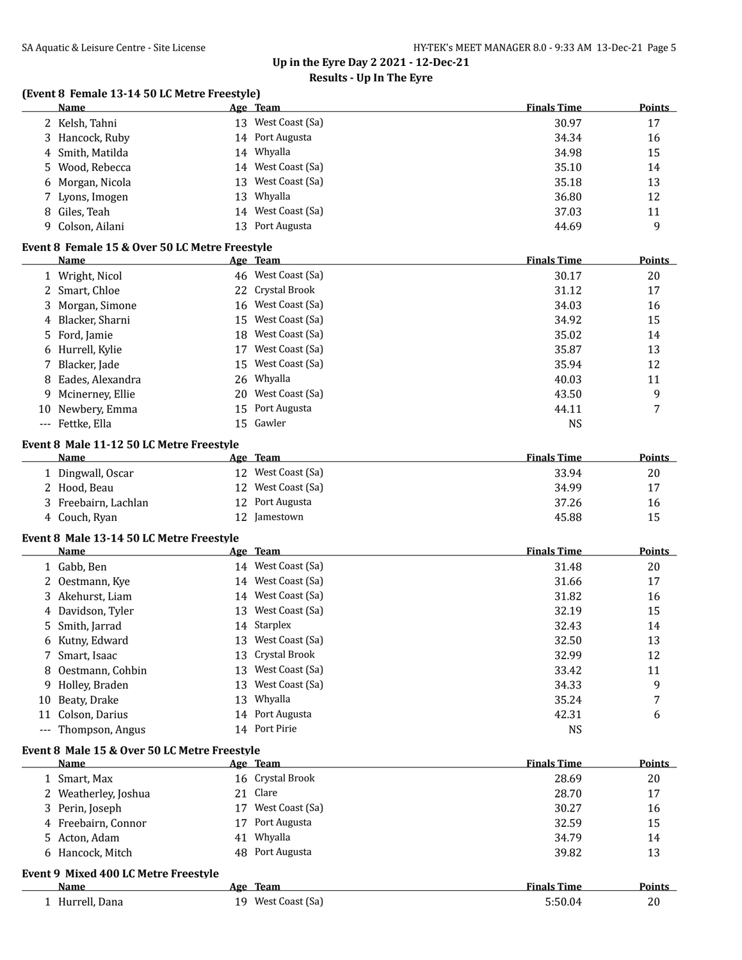## **Results - Up In The Eyre**

## **(Event 8 Female 13-14 50 LC Metre Freestyle)**

|   | Name                                           |    | Age Team           | <b>Finals Time</b> | <b>Points</b> |
|---|------------------------------------------------|----|--------------------|--------------------|---------------|
|   | 2 Kelsh, Tahni                                 |    | 13 West Coast (Sa) | 30.97              | 17            |
| 3 | Hancock, Ruby                                  |    | 14 Port Augusta    | 34.34              | 16            |
| 4 | Smith, Matilda                                 |    | 14 Whyalla         | 34.98              | 15            |
| 5 | Wood, Rebecca                                  |    | 14 West Coast (Sa) | 35.10              | 14            |
| 6 | Morgan, Nicola                                 | 13 | West Coast (Sa)    | 35.18              | 13            |
| 7 | Lyons, Imogen                                  | 13 | Whyalla            | 36.80              | 12            |
| 8 | Giles, Teah                                    | 14 | West Coast (Sa)    | 37.03              | 11            |
| 9 | Colson, Ailani                                 |    | 13 Port Augusta    | 44.69              | 9             |
|   |                                                |    |                    |                    |               |
|   | Event 8 Female 15 & Over 50 LC Metre Freestyle |    |                    |                    |               |
|   | Name                                           |    | Age Team           | <b>Finals Time</b> | <b>Points</b> |
|   | 1 Wright, Nicol                                |    | 46 West Coast (Sa) | 30.17              | 20            |
|   | 2 Smart, Chloe                                 | 22 | Crystal Brook      | 31.12              | 17            |
| 3 | Morgan, Simone                                 | 16 | West Coast (Sa)    | 34.03              | 16            |
| 4 | Blacker, Sharni                                | 15 | West Coast (Sa)    | 34.92              | 15            |
| 5 | Ford, Jamie                                    | 18 | West Coast (Sa)    | 35.02              | 14            |
| 6 | Hurrell, Kylie                                 | 17 | West Coast (Sa)    | 35.87              | 13            |
| 7 | Blacker, Jade                                  | 15 | West Coast (Sa)    | 35.94              | 12            |
| 8 | Eades, Alexandra                               | 26 | Whyalla            | 40.03              | 11            |
| 9 | Mcinerney, Ellie                               |    | 20 West Coast (Sa) | 43.50              | 9             |
|   |                                                | 15 | Port Augusta       |                    | 7             |
|   | 10 Newbery, Emma                               |    |                    | 44.11              |               |
|   | --- Fettke, Ella                               | 15 | Gawler             | <b>NS</b>          |               |
|   | Event 8 Male 11-12 50 LC Metre Freestyle       |    |                    |                    |               |
|   | Name                                           |    | Age Team           | <b>Finals Time</b> | <b>Points</b> |
|   | 1 Dingwall, Oscar                              |    | 12 West Coast (Sa) | 33.94              | 20            |
|   | 2 Hood, Beau                                   | 12 | West Coast (Sa)    | 34.99              | 17            |
| 3 | Freebairn, Lachlan                             | 12 | Port Augusta       | 37.26              | 16            |
|   | 4 Couch, Ryan                                  |    | 12 Jamestown       | 45.88              | 15            |
|   |                                                |    |                    |                    |               |
|   | Event 8 Male 13-14 50 LC Metre Freestyle       |    |                    |                    |               |
|   | Name                                           |    | Age Team           | <b>Finals Time</b> | <b>Points</b> |
|   | 1 Gabb, Ben                                    |    | 14 West Coast (Sa) | 31.48              | 20            |
| 2 | Oestmann, Kye                                  |    | 14 West Coast (Sa) | 31.66              | 17            |
| 3 | Akehurst, Liam                                 |    | 14 West Coast (Sa) | 31.82              | 16            |
| 4 | Davidson, Tyler                                |    | 13 West Coast (Sa) | 32.19              | 15            |
| 5 | Smith, Jarrad                                  | 14 | Starplex           | 32.43              | 14            |
|   | 6 Kutny, Edward                                |    | 13 West Coast (Sa) | 32.50              | 13            |
|   | 7 Smart, Isaac                                 |    | 13 Crystal Brook   | 32.99              | 12            |
|   | Oestmann, Cohbin                               | 13 | West Coast (Sa)    | 33.42              | 11            |
|   | 9 Holley, Braden                               | 13 | West Coast (Sa)    | 34.33              | 9             |
|   | 10 Beaty, Drake                                |    | 13 Whyalla         | 35.24              | 7             |
|   | 11 Colson, Darius                              |    | 14 Port Augusta    | 42.31              | 6             |
|   | --- Thompson, Angus                            |    | 14 Port Pirie      | <b>NS</b>          |               |
|   |                                                |    |                    |                    |               |
|   | Event 8 Male 15 & Over 50 LC Metre Freestyle   |    |                    |                    |               |
|   | Name                                           |    | Age Team           | <b>Finals Time</b> | <b>Points</b> |
|   | 1 Smart, Max                                   |    | 16 Crystal Brook   | 28.69              | 20            |
|   | 2 Weatherley, Joshua                           |    | 21 Clare           | 28.70              | 17            |
|   | 3 Perin, Joseph                                |    | 17 West Coast (Sa) | 30.27              | 16            |
|   | 4 Freebairn, Connor                            |    | 17 Port Augusta    | 32.59              | 15            |
|   | 5 Acton, Adam                                  |    | 41 Whyalla         | 34.79              | 14            |
| 6 | Hancock, Mitch                                 |    | 48 Port Augusta    | 39.82              | 13            |
|   |                                                |    |                    |                    |               |
|   | Event 9 Mixed 400 LC Metre Freestyle           |    |                    |                    |               |
|   | Name                                           |    | Age Team           | <b>Finals Time</b> | <b>Points</b> |
|   | 1 Hurrell, Dana                                |    | 19 West Coast (Sa) | 5:50.04            | 20            |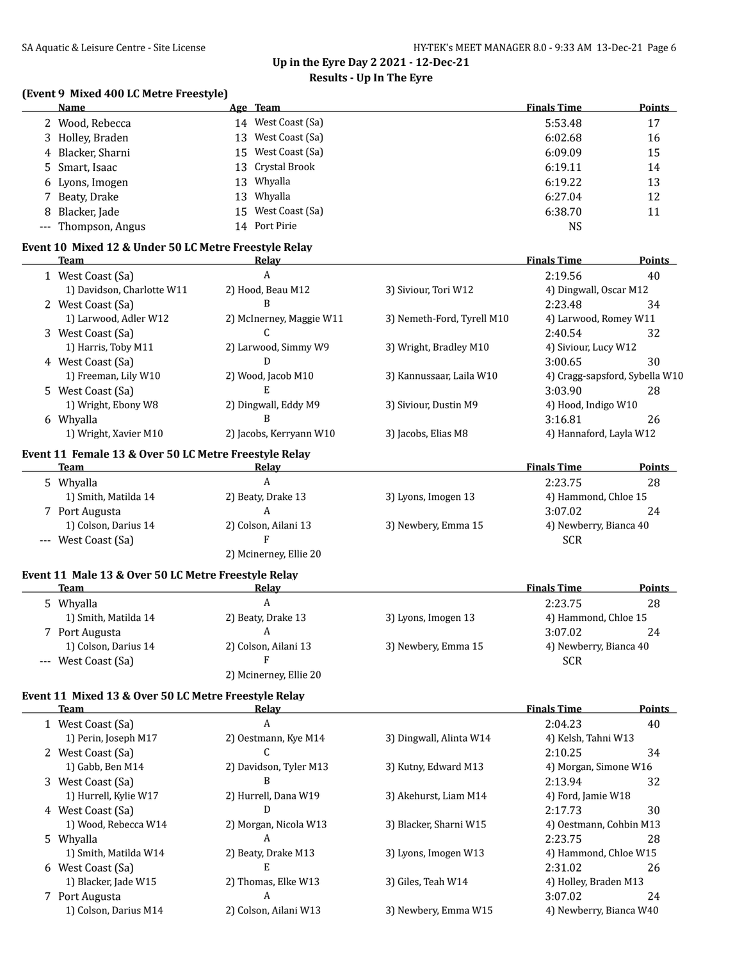## **Up in the Eyre Day 2 2021 - 12-Dec-21 Results - Up In The Eyre**

## **(Event 9 Mixed 400 LC Metre Freestyle)**

| <b>Name</b>         |     | Age Team           | <b>Finals Time</b> | <b>Points</b> |
|---------------------|-----|--------------------|--------------------|---------------|
| 2 Wood, Rebecca     |     | 14 West Coast (Sa) | 5:53.48            | 17            |
| 3 Holley, Braden    | 13. | West Coast (Sa)    | 6:02.68            | 16            |
| 4 Blacker, Sharni   |     | 15 West Coast (Sa) | 6:09.09            | 15            |
| 5 Smart, Isaac      |     | 13 Crystal Brook   | 6:19.11            | 14            |
| 6 Lyons, Imogen     | 13. | Whyalla            | 6:19.22            | 13            |
| 7 Beaty, Drake      | 13  | Whyalla            | 6:27.04            | 12            |
| 8 Blacker, Jade     | 15  | West Coast (Sa)    | 6:38.70            | 11            |
| --- Thompson, Angus |     | 14 Port Pirie      | NS                 |               |

### **Event 10 Mixed 12 & Under 50 LC Metre Freestyle Relay**

| Team                       | Relay                    |                            | <b>Finals Time</b>      | Points                         |
|----------------------------|--------------------------|----------------------------|-------------------------|--------------------------------|
| 1 West Coast (Sa)          | A                        |                            | 2:19.56                 | 40                             |
| 1) Davidson, Charlotte W11 | 2) Hood, Beau M12        | 3) Siviour, Tori W12       | 4) Dingwall, Oscar M12  |                                |
| 2 West Coast (Sa)          | B                        |                            | 2:23.48                 | 34                             |
| 1) Larwood, Adler W12      | 2) McInerney, Maggie W11 | 3) Nemeth-Ford, Tyrell M10 | 4) Larwood, Romey W11   |                                |
| 3 West Coast (Sa)          |                          |                            | 2:40.54                 | 32                             |
| 1) Harris, Toby M11        | 2) Larwood, Simmy W9     | 3) Wright, Bradley M10     | 4) Siviour, Lucy W12    |                                |
| 4 West Coast (Sa)          | D                        |                            | 3:00.65                 | 30                             |
| 1) Freeman, Lily W10       | 2) Wood, Jacob M10       | 3) Kannussaar, Laila W10   |                         | 4) Cragg-sapsford, Sybella W10 |
| 5 West Coast (Sa)          | Е                        |                            | 3:03.90                 | 28                             |
| 1) Wright, Ebony W8        | 2) Dingwall, Eddy M9     | 3) Siviour, Dustin M9      | 4) Hood, Indigo W10     |                                |
| 6 Whyalla                  | B                        |                            | 3:16.81                 | 26                             |
| 1) Wright, Xavier M10      | 2) Jacobs, Kerryann W10  | 3) Jacobs, Elias M8        | 4) Hannaford, Layla W12 |                                |
|                            |                          |                            |                         |                                |

### **Event 11 Female 13 & Over 50 LC Metre Freestyle Relay**

| <b>Team</b>          | Relav                  |                     | <b>Finals Time</b>     | <b>Points</b> |
|----------------------|------------------------|---------------------|------------------------|---------------|
| 5 Whyalla            |                        |                     | 2:23.75                | 28            |
| 1) Smith, Matilda 14 | 2) Beaty, Drake 13     | 3) Lyons, Imogen 13 | 4) Hammond, Chloe 15   |               |
| 7 Port Augusta       |                        |                     | 3:07.02                | 24            |
| 1) Colson, Darius 14 | 2) Colson, Ailani 13   | 3) Newbery, Emma 15 | 4) Newberry, Bianca 40 |               |
| --- West Coast (Sa)  |                        |                     | <b>SCR</b>             |               |
|                      | 2) Mcinerney, Ellie 20 |                     |                        |               |

### **Event 11 Male 13 & Over 50 LC Metre Freestyle Relay**

| Team                 | Relay                  |                     | <b>Finals Time</b>     | <b>Points</b> |
|----------------------|------------------------|---------------------|------------------------|---------------|
| 5 Whyalla            | A                      |                     | 2:23.75                | 28            |
| 1) Smith, Matilda 14 | 2) Beaty, Drake 13     | 3) Lyons, Imogen 13 | 4) Hammond, Chloe 15   |               |
| 7 Port Augusta       |                        |                     | 3:07.02                | 24            |
| 1) Colson, Darius 14 | 2) Colson, Ailani 13   | 3) Newbery, Emma 15 | 4) Newberry, Bianca 40 |               |
| --- West Coast (Sa)  |                        |                     | <b>SCR</b>             |               |
|                      | 2) Mcinerney, Ellie 20 |                     |                        |               |
|                      |                        |                     |                        |               |

#### **Event 11 Mixed 13 & Over 50 LC Metre Freestyle Relay**

| Team                  | Relay                  |                         | <b>Finals Time</b>      | <b>Points</b> |
|-----------------------|------------------------|-------------------------|-------------------------|---------------|
| 1 West Coast (Sa)     | A                      |                         | 2:04.23                 | 40            |
| 1) Perin, Joseph M17  | 2) Oestmann, Kye M14   | 3) Dingwall, Alinta W14 | 4) Kelsh, Tahni W13     |               |
| 2 West Coast (Sa)     |                        |                         | 2:10.25                 | 34            |
| 1) Gabb, Ben M14      | 2) Davidson, Tyler M13 | 3) Kutny, Edward M13    | 4) Morgan, Simone W16   |               |
| 3 West Coast (Sa)     | B                      |                         | 2:13.94                 | 32            |
| 1) Hurrell, Kylie W17 | 2) Hurrell, Dana W19   | 3) Akehurst, Liam M14   | 4) Ford, Jamie W18      |               |
| 4 West Coast (Sa)     | D                      |                         | 2:17.73                 | 30            |
| 1) Wood, Rebecca W14  | 2) Morgan, Nicola W13  | 3) Blacker, Sharni W15  | 4) Oestmann, Cohbin M13 |               |
| 5 Whyalla             | A                      |                         | 2:23.75                 | 28            |
| 1) Smith, Matilda W14 | 2) Beaty, Drake M13    | 3) Lyons, Imogen W13    | 4) Hammond, Chloe W15   |               |
| 6 West Coast (Sa)     | E                      |                         | 2:31.02                 | 26            |
| 1) Blacker, Jade W15  | 2) Thomas, Elke W13    | 3) Giles, Teah W14      | 4) Holley, Braden M13   |               |
| 7 Port Augusta        | A                      |                         | 3:07.02                 | 24            |
| 1) Colson, Darius M14 | 2) Colson, Ailani W13  | 3) Newbery, Emma W15    | 4) Newberry, Bianca W40 |               |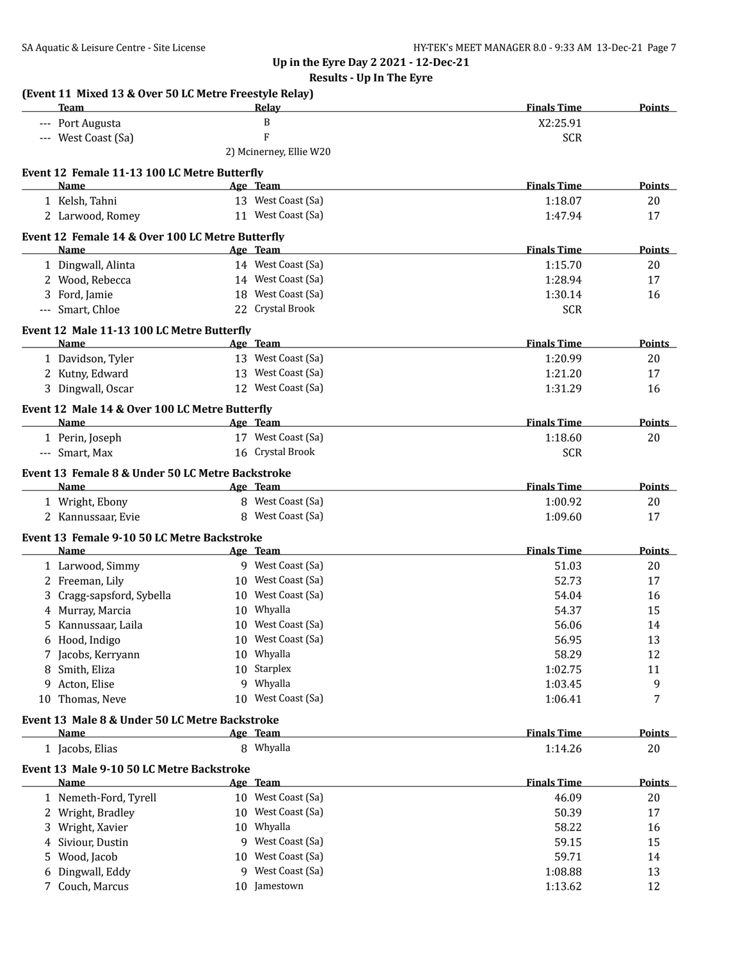|   |                                                                       | <b>Results - Up In The Eyre</b> |                    |               |
|---|-----------------------------------------------------------------------|---------------------------------|--------------------|---------------|
|   | (Event 11 Mixed 13 & Over 50 LC Metre Freestyle Relay)<br><b>Team</b> | Relay                           | <b>Finals Time</b> | <b>Points</b> |
|   | --- Port Augusta                                                      | B                               | X2:25.91           |               |
|   | --- West Coast (Sa)                                                   | $\overline{F}$                  | <b>SCR</b>         |               |
|   |                                                                       | 2) Mcinerney, Ellie W20         |                    |               |
|   | Event 12 Female 11-13 100 LC Metre Butterfly                          |                                 |                    |               |
|   | Name                                                                  | Age Team                        | <b>Finals Time</b> | Points        |
|   | 1 Kelsh, Tahni                                                        | 13 West Coast (Sa)              | 1:18.07            | 20            |
|   | 2 Larwood, Romey                                                      | 11 West Coast (Sa)              | 1:47.94            | 17            |
|   | Event 12 Female 14 & Over 100 LC Metre Butterfly<br>Name              | Age Team                        | <b>Finals Time</b> | <b>Points</b> |
|   | 1 Dingwall, Alinta                                                    | 14 West Coast (Sa)              | 1:15.70            | 20            |
|   | 2 Wood, Rebecca                                                       | 14 West Coast (Sa)              | 1:28.94            | 17            |
|   | 3 Ford, Jamie                                                         | 18 West Coast (Sa)              | 1:30.14            | 16            |
|   | --- Smart, Chloe                                                      | 22 Crystal Brook                | <b>SCR</b>         |               |
|   | Event 12 Male 11-13 100 LC Metre Butterfly                            |                                 |                    |               |
|   | <b>Name</b>                                                           | Age Team                        | <b>Finals Time</b> | <b>Points</b> |
|   | 1 Davidson, Tyler                                                     | 13 West Coast (Sa)              | 1:20.99            | 20            |
|   | 2 Kutny, Edward                                                       | 13 West Coast (Sa)              | 1:21.20            | 17            |
|   | 3 Dingwall, Oscar                                                     | 12 West Coast (Sa)              | 1:31.29            | 16            |
|   | Event 12 Male 14 & Over 100 LC Metre Butterfly                        |                                 |                    |               |
|   | <b>Name</b>                                                           | Age Team                        | <b>Finals Time</b> | <b>Points</b> |
|   | 1 Perin, Joseph                                                       | 17 West Coast (Sa)              | 1:18.60            | 20            |
|   | --- Smart, Max                                                        | 16 Crystal Brook                | <b>SCR</b>         |               |
|   | Event 13 Female 8 & Under 50 LC Metre Backstroke                      |                                 |                    |               |
|   | <b>Name</b><br><b>Example 2016</b> Age Team                           |                                 | <b>Finals Time</b> | <b>Points</b> |
|   | 1 Wright, Ebony                                                       | 8 West Coast (Sa)               | 1:00.92            | 20            |
|   | 2 Kannussaar, Evie                                                    | 8 West Coast (Sa)               | 1:09.60            | 17            |
|   | Event 13 Female 9-10 50 LC Metre Backstroke                           |                                 |                    |               |
|   | Name                                                                  | Age Team                        | <b>Finals Time</b> | <b>Points</b> |
|   | 1 Larwood, Simmy                                                      | 9 West Coast (Sa)               | 51.03              | 20            |
|   | 2 Freeman, Lily                                                       | 10 West Coast (Sa)              | 52.73              | 17            |
|   | 3 Cragg-sapsford, Sybella                                             | 10 West Coast (Sa)              | 54.04              | 16            |
|   | 4 Murray, Marcia                                                      | 10 Whvalla                      | 54.37              | 15            |
|   | 5 Kannussaar, Laila                                                   | 10 West Coast (Sa)              | 56.06              | 14            |
|   | 6 Hood, Indigo                                                        | 10 West Coast (Sa)              | 56.95              | 13            |
|   | 7 Jacobs, Kerryann                                                    | 10 Whyalla                      | 58.29              | 12            |
|   | 8 Smith, Eliza                                                        | 10 Starplex                     | 1:02.75            | 11            |
|   | 9 Acton, Elise<br>10 Thomas, Neve                                     | 9 Whyalla<br>10 West Coast (Sa) | 1:03.45            | 9<br>7        |
|   |                                                                       |                                 | 1:06.41            |               |
|   | Event 13 Male 8 & Under 50 LC Metre Backstroke<br>Name                | Age Team                        | <b>Finals Time</b> | <b>Points</b> |
|   | 1 Jacobs, Elias                                                       | 8 Whyalla                       | 1:14.26            | 20            |
|   |                                                                       |                                 |                    |               |
|   | Event 13 Male 9-10 50 LC Metre Backstroke<br>Name                     | <u>Age Team</u>                 | <b>Finals Time</b> | <b>Points</b> |
|   | 1 Nemeth-Ford, Tyrell                                                 | 10 West Coast (Sa)              | 46.09              | 20            |
|   | 2 Wright, Bradley                                                     | 10 West Coast (Sa)              | 50.39              | 17            |
|   | 3 Wright, Xavier                                                      | 10 Whyalla                      | 58.22              | 16            |
|   | 4 Siviour, Dustin                                                     | 9 West Coast (Sa)               | 59.15              | 15            |
|   | 5 Wood, Jacob                                                         | 10 West Coast (Sa)              | 59.71              | 14            |
| 6 | Dingwall, Eddy                                                        | 9 West Coast (Sa)               | 1:08.88            | 13            |
|   | 7 Couch, Marcus                                                       | 10 Jamestown                    | 1:13.62            | 12            |
|   |                                                                       |                                 |                    |               |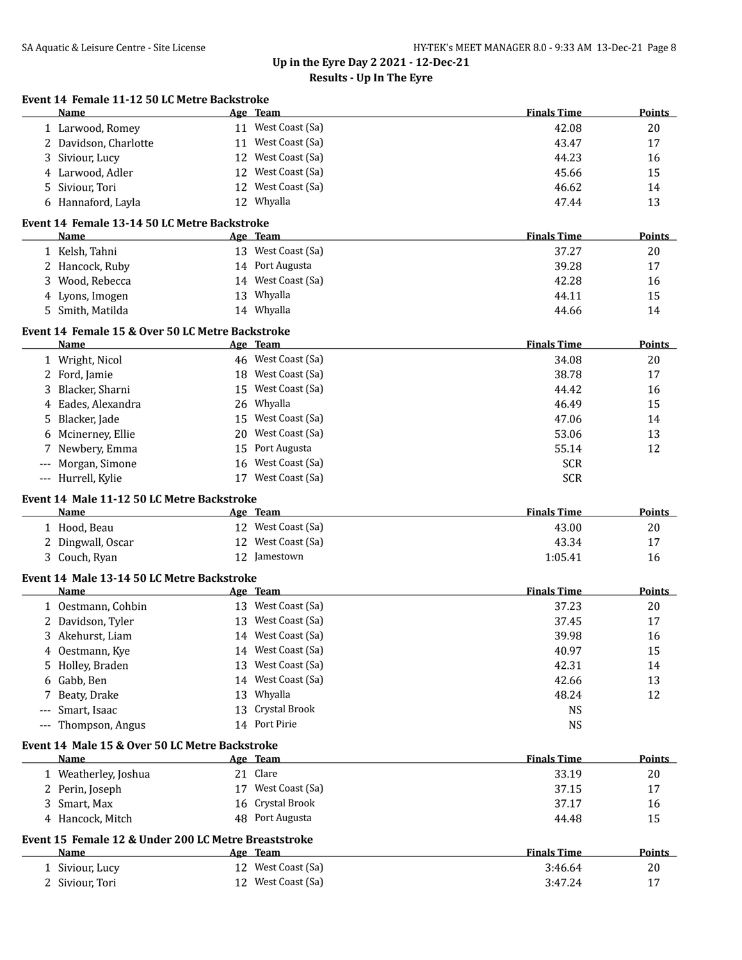| Event 14 Female 11-12 50 LC Metre Backstroke<br>Name        | Age Team                                             | <b>Finals Time</b> | Points        |
|-------------------------------------------------------------|------------------------------------------------------|--------------------|---------------|
| 1 Larwood, Romey                                            | 11 West Coast (Sa)                                   | 42.08              | 20            |
| 2 Davidson, Charlotte                                       | 11 West Coast (Sa)                                   | 43.47              | 17            |
| 3 Siviour, Lucy                                             | 12 West Coast (Sa)                                   | 44.23              | 16            |
| 4 Larwood, Adler                                            | 12 West Coast (Sa)                                   | 45.66              | 15            |
| Siviour, Tori<br>5                                          | 12 West Coast (Sa)                                   | 46.62              | 14            |
|                                                             | 12 Whyalla                                           |                    |               |
| 6 Hannaford, Layla                                          |                                                      | 47.44              | 13            |
| Event 14 Female 13-14 50 LC Metre Backstroke<br><b>Name</b> | Age Team                                             | <b>Finals Time</b> | <b>Points</b> |
| 1 Kelsh, Tahni                                              | 13 West Coast (Sa)                                   | 37.27              | 20            |
| 2 Hancock, Ruby                                             | 14 Port Augusta                                      | 39.28              | 17            |
| 3 Wood, Rebecca                                             | 14 West Coast (Sa)                                   | 42.28              | 16            |
| 4 Lyons, Imogen                                             | 13 Whyalla                                           | 44.11              | 15            |
| 5 Smith, Matilda                                            | 14 Whyalla                                           | 44.66              | 14            |
|                                                             |                                                      |                    |               |
| Event 14 Female 15 & Over 50 LC Metre Backstroke<br>Name    | Age Team                                             | <b>Finals Time</b> | Points        |
| 1 Wright, Nicol                                             | 46 West Coast (Sa)                                   | 34.08              | 20            |
| 2 Ford, Jamie                                               | 18 West Coast (Sa)                                   | 38.78              | 17            |
| 3 Blacker, Sharni                                           | 15 West Coast (Sa)                                   | 44.42              | 16            |
| 4 Eades, Alexandra                                          | 26 Whyalla                                           | 46.49              | 15            |
| 5 Blacker, Jade                                             | 15 West Coast (Sa)                                   | 47.06              | 14            |
| 6 Mcinerney, Ellie                                          | 20 West Coast (Sa)                                   | 53.06              | 13            |
| Newbery, Emma<br>7                                          | 15 Port Augusta                                      | 55.14              | 12            |
| Morgan, Simone                                              | 16 West Coast (Sa)                                   | <b>SCR</b>         |               |
| --- Hurrell, Kylie                                          | 17 West Coast (Sa)                                   | <b>SCR</b>         |               |
|                                                             |                                                      |                    |               |
| Event 14 Male 11-12 50 LC Metre Backstroke<br>Name          | Age Team                                             | <b>Finals Time</b> | Points        |
| 1 Hood, Beau                                                | 12 West Coast (Sa)                                   | 43.00              | 20            |
| 2 Dingwall, Oscar                                           | 12 West Coast (Sa)                                   | 43.34              | 17            |
| 3 Couch, Ryan                                               | 12 Jamestown                                         | 1:05.41            | 16            |
|                                                             |                                                      |                    |               |
| Event 14 Male 13-14 50 LC Metre Backstroke<br><b>Name</b>   | Age Team                                             | <b>Finals Time</b> | Points        |
| 1 Oestmann, Cohbin                                          | 13 West Coast (Sa)                                   | 37.23              | 20            |
| 2 Davidson, Tyler                                           | 13 West Coast (Sa)                                   | 37.45              | 17            |
| 3 Akehurst, Liam                                            | 14 West Coast (Sa)                                   | 39.98              | 16            |
| 4 Oestmann, Kye                                             | 14 West Coast (Sa)                                   | 40.97              | 15            |
| 5 Holley, Braden                                            | 13 West Coast (Sa)                                   | 42.31              | 14            |
| 6 Gabb, Ben                                                 | 14 West Coast (Sa)                                   | 42.66              | 13            |
| 7 Beaty, Drake                                              | 13 Whyalla                                           | 48.24              | 12            |
| Smart, Isaac<br>$---$                                       | 13 Crystal Brook                                     | <b>NS</b>          |               |
| Thompson, Angus<br>$---$                                    | 14 Port Pirie                                        | <b>NS</b>          |               |
| Event 14 Male 15 & Over 50 LC Metre Backstroke              |                                                      |                    |               |
| <u>Name</u>                                                 | Age Team                                             | <b>Finals Time</b> | <b>Points</b> |
| 1 Weatherley, Joshua                                        | 21 Clare                                             | 33.19              | 20            |
| 2 Perin, Joseph                                             | 17 West Coast (Sa)                                   | 37.15              | 17            |
| 3 Smart, Max                                                | 16 Crystal Brook                                     | 37.17              | 16            |
| 4 Hancock, Mitch                                            | 48 Port Augusta                                      | 44.48              | 15            |
|                                                             | Event 15 Female 12 & Under 200 LC Metre Breaststroke |                    |               |
|                                                             |                                                      |                    |               |
| Name                                                        | Age Team                                             | <b>Finals Time</b> | <b>Points</b> |
| 1 Siviour, Lucy                                             | 12 West Coast (Sa)                                   | 3:46.64            | 20            |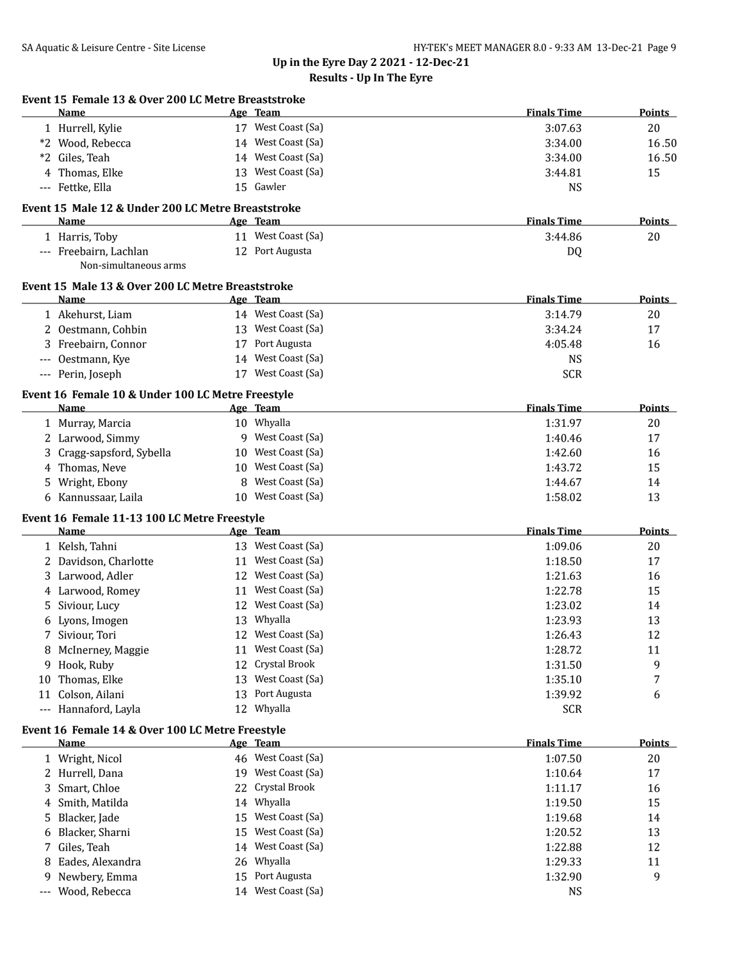|       | Event 15 Female 13 & Over 200 LC Metre Breaststroke<br>Name |    | Age Team                                 | <b>Finals Time</b> | Points        |
|-------|-------------------------------------------------------------|----|------------------------------------------|--------------------|---------------|
|       | 1 Hurrell, Kylie                                            |    | 17 West Coast (Sa)                       | 3:07.63            | 20            |
|       | *2 Wood, Rebecca                                            |    | 14 West Coast (Sa)                       | 3:34.00            | 16.50         |
| *2    | Giles, Teah                                                 |    | 14 West Coast (Sa)                       | 3:34.00            | 16.50         |
| 4     | Thomas, Elke                                                |    | 13 West Coast (Sa)                       | 3:44.81            | 15            |
|       | --- Fettke, Ella                                            |    | 15 Gawler                                | <b>NS</b>          |               |
|       | Event 15 Male 12 & Under 200 LC Metre Breaststroke          |    |                                          |                    |               |
|       | Name                                                        |    | Age Team                                 | <b>Finals Time</b> | Points        |
|       | 1 Harris, Toby                                              |    | 11 West Coast (Sa)                       | 3:44.86            | 20            |
|       | --- Freebairn, Lachlan<br>Non-simultaneous arms             |    | 12 Port Augusta                          | DQ                 |               |
|       | Event 15 Male 13 & Over 200 LC Metre Breaststroke           |    |                                          |                    |               |
|       | Name                                                        |    | Age Team                                 | <b>Finals Time</b> | Points        |
|       | 1 Akehurst, Liam                                            |    | 14 West Coast (Sa)                       | 3:14.79            | 20            |
|       | 2 Oestmann, Cohbin                                          |    | 13 West Coast (Sa)                       | 3:34.24            | 17            |
|       | 3 Freebairn, Connor                                         |    | 17 Port Augusta                          | 4:05.48            | 16            |
| $---$ | Oestmann, Kye                                               |    | 14 West Coast (Sa)<br>17 West Coast (Sa) | <b>NS</b>          |               |
|       | --- Perin, Joseph                                           |    |                                          | <b>SCR</b>         |               |
|       | Event 16 Female 10 & Under 100 LC Metre Freestyle<br>Name   |    | Age Team                                 | <b>Finals Time</b> | <b>Points</b> |
|       | 1 Murray, Marcia                                            |    | 10 Whyalla                               | 1:31.97            | 20            |
|       | 2 Larwood, Simmy                                            |    | 9 West Coast (Sa)                        | 1:40.46            | 17            |
| 3     | Cragg-sapsford, Sybella                                     |    | 10 West Coast (Sa)                       | 1:42.60            | 16            |
| 4     | Thomas, Neve                                                |    | 10 West Coast (Sa)                       | 1:43.72            | 15            |
| 5     | Wright, Ebony                                               |    | 8 West Coast (Sa)                        | 1:44.67            | 14            |
| 6     | Kannussaar, Laila                                           |    | 10 West Coast (Sa)                       | 1:58.02            | 13            |
|       | Event 16 Female 11-13 100 LC Metre Freestyle                |    |                                          |                    |               |
|       | Name                                                        |    | Age Team                                 | <b>Finals Time</b> | <b>Points</b> |
|       | 1 Kelsh, Tahni                                              |    | 13 West Coast (Sa)                       | 1:09.06            | 20            |
|       | 2 Davidson, Charlotte                                       |    | 11 West Coast (Sa)                       | 1:18.50            | 17            |
|       | 3 Larwood, Adler                                            |    | 12 West Coast (Sa)                       | 1:21.63            | 16            |
| 4     | Larwood, Romey                                              |    | 11 West Coast (Sa)                       | 1:22.78            | 15            |
| 5     | Siviour, Lucy                                               |    | 12 West Coast (Sa)                       | 1:23.02            | 14            |
| 6     | Lyons, Imogen                                               |    | 13 Whyalla                               | 1:23.93            | 13            |
|       | 7 Siviour, Tori                                             |    | 12 West Coast (Sa)                       | 1:26.43            | 12            |
|       | McInerney, Maggie                                           |    | 11 West Coast (Sa)                       | 1:28.72            | 11            |
| 9.    | Hook, Ruby                                                  |    | 12 Crystal Brook                         | 1:31.50            | 9             |
| 10    | Thomas, Elke                                                | 13 | West Coast (Sa)                          | 1:35.10            | 7             |
| 11    | Colson, Ailani                                              |    | 13 Port Augusta                          | 1:39.92            | 6             |
|       | --- Hannaford, Layla                                        |    | 12 Whyalla                               | <b>SCR</b>         |               |
|       | Event 16 Female 14 & Over 100 LC Metre Freestyle<br>Name    |    | Age Team                                 | <b>Finals Time</b> | <b>Points</b> |
|       | 1 Wright, Nicol                                             |    | 46 West Coast (Sa)                       | 1:07.50            | 20            |
| 2     | Hurrell, Dana                                               |    | 19 West Coast (Sa)                       | 1:10.64            | 17            |
| 3     | Smart, Chloe                                                | 22 | Crystal Brook                            | 1:11.17            | 16            |
| 4     | Smith, Matilda                                              |    | 14 Whyalla                               | 1:19.50            | 15            |
| 5     | Blacker, Jade                                               | 15 | West Coast (Sa)                          | 1:19.68            | 14            |
| 6     | Blacker, Sharni                                             | 15 | West Coast (Sa)                          | 1:20.52            | 13            |
| 7     | Giles, Teah                                                 | 14 | West Coast (Sa)                          | 1:22.88            | 12            |
| 8     | Eades, Alexandra                                            |    | 26 Whyalla                               | 1:29.33            | 11            |
| 9     | Newbery, Emma                                               | 15 | Port Augusta                             | 1:32.90            | 9             |
|       |                                                             |    |                                          |                    |               |
|       | Wood, Rebecca                                               |    | 14 West Coast (Sa)                       | <b>NS</b>          |               |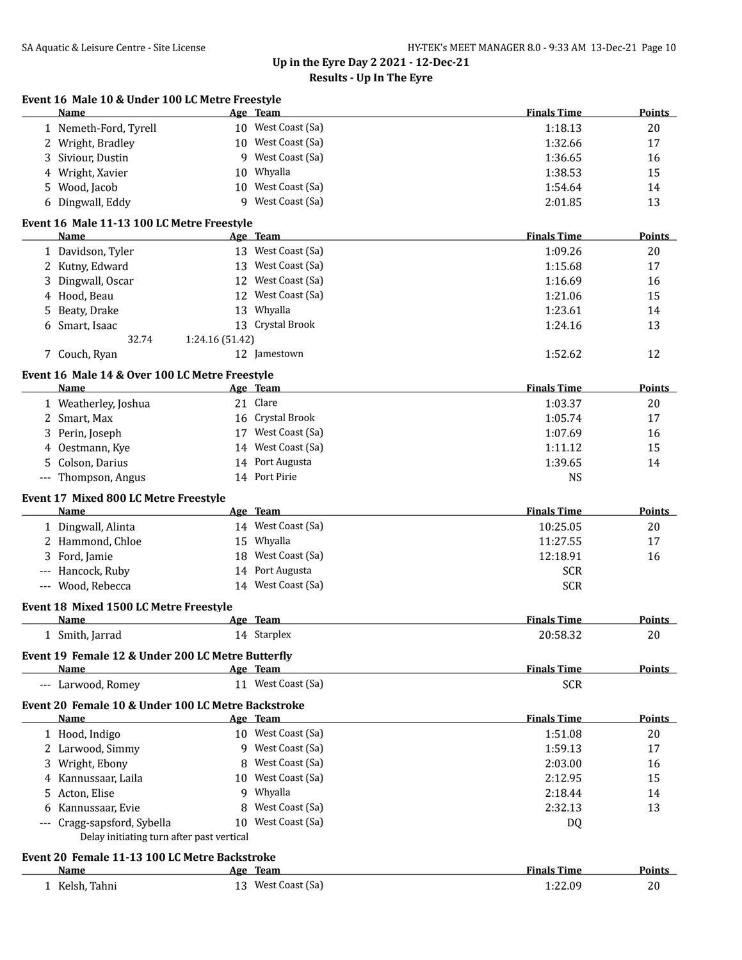| Event 16 Male 10 & Under 100 LC Metre Freestyle<br>Name              | Age Team        |                    | <b>Finals Time</b>               | Points        |
|----------------------------------------------------------------------|-----------------|--------------------|----------------------------------|---------------|
| 1 Nemeth-Ford, Tyrell                                                |                 | 10 West Coast (Sa) | 1:18.13                          | 20            |
| 2 Wright, Bradley                                                    |                 | 10 West Coast (Sa) | 1:32.66                          | 17            |
| Siviour, Dustin<br>3                                                 |                 | 9 West Coast (Sa)  | 1:36.65                          | 16            |
| Wright, Xavier<br>4                                                  | 10              | Whyalla            | 1:38.53                          | 15            |
| Wood, Jacob<br>5                                                     |                 | 10 West Coast (Sa) | 1:54.64                          | 14            |
| Dingwall, Eddy<br>6                                                  |                 | 9 West Coast (Sa)  | 2:01.85                          | 13            |
| Event 16 Male 11-13 100 LC Metre Freestyle                           |                 |                    |                                  |               |
| <b>Name</b>                                                          | <u>Age Team</u> |                    | <b>Finals Time</b>               | Points        |
| 1 Davidson, Tyler                                                    |                 | 13 West Coast (Sa) | 1:09.26                          | 20            |
| 2 Kutny, Edward                                                      |                 | 13 West Coast (Sa) | 1:15.68                          | 17            |
| Dingwall, Oscar<br>3                                                 |                 | 12 West Coast (Sa) | 1:16.69                          | 16            |
| Hood, Beau<br>4                                                      |                 | 12 West Coast (Sa) | 1:21.06                          | 15            |
| Beaty, Drake<br>5                                                    |                 | 13 Whyalla         | 1:23.61                          | 14            |
| Smart, Isaac<br>6                                                    |                 | 13 Crystal Brook   | 1:24.16                          | 13            |
| 32.74                                                                | 1:24.16 (51.42) |                    |                                  |               |
| 7 Couch, Ryan                                                        |                 | 12 Jamestown       | 1:52.62                          | 12            |
| Event 16 Male 14 & Over 100 LC Metre Freestyle                       |                 |                    |                                  |               |
| <b>Name</b>                                                          | Age Team        |                    | <b>Finals Time</b>               | Points        |
| 1 Weatherley, Joshua                                                 | 21 Clare        |                    | 1:03.37                          | 20            |
| 2 Smart, Max                                                         |                 | 16 Crystal Brook   | 1:05.74                          | 17            |
| Perin, Joseph<br>3                                                   |                 | 17 West Coast (Sa) | 1:07.69                          | 16            |
| Oestmann, Kye<br>4                                                   |                 | 14 West Coast (Sa) | 1:11.12                          | 15            |
| Colson, Darius<br>5                                                  |                 | 14 Port Augusta    | 1:39.65                          | 14            |
| --- Thompson, Angus                                                  |                 | 14 Port Pirie      | <b>NS</b>                        |               |
| Event 17 Mixed 800 LC Metre Freestyle                                |                 |                    |                                  |               |
| Name                                                                 | Age Team        |                    | <b>Finals Time</b>               | Points        |
| 1 Dingwall, Alinta                                                   |                 | 14 West Coast (Sa) | 10:25.05                         | 20            |
| Hammond, Chloe<br>2                                                  |                 | 15 Whyalla         | 11:27.55                         | 17            |
| 3<br>Ford, Jamie                                                     | 18              | West Coast (Sa)    | 12:18.91                         | 16            |
| Hancock, Ruby                                                        |                 | 14 Port Augusta    | <b>SCR</b>                       |               |
| --- Wood, Rebecca                                                    |                 | 14 West Coast (Sa) | <b>SCR</b>                       |               |
| Event 18 Mixed 1500 LC Metre Freestyle                               |                 |                    |                                  |               |
| Name                                                                 | Age Team        |                    | <b>Finals Time</b>               | <b>Points</b> |
| 1 Smith, Jarrad                                                      |                 | 14 Starplex        | 20:58.32                         | 20            |
| Event 19 Female 12 & Under 200 LC Metre Butterfly                    |                 |                    |                                  |               |
| Name<br>--- Larwood, Romey                                           | Age Team        | 11 West Coast (Sa) | <b>Finals Time</b><br><b>SCR</b> | <b>Points</b> |
| Event 20 Female 10 & Under 100 LC Metre Backstroke                   |                 |                    |                                  |               |
| Name                                                                 | Age Team        |                    | <b>Finals Time</b>               | Points        |
| 1 Hood, Indigo                                                       |                 | 10 West Coast (Sa) | 1:51.08                          | 20            |
| 2 Larwood, Simmy                                                     |                 | 9 West Coast (Sa)  | 1:59.13                          | 17            |
| Wright, Ebony<br>3                                                   | 8               | West Coast (Sa)    | 2:03.00                          | 16            |
| Kannussaar, Laila<br>4                                               |                 | 10 West Coast (Sa) | 2:12.95                          | 15            |
| Acton, Elise<br>5                                                    | 9               | Whyalla            | 2:18.44                          | 14            |
| Kannussaar, Evie                                                     | 8               | West Coast (Sa)    | 2:32.13                          | 13            |
| 6                                                                    |                 | 10 West Coast (Sa) |                                  |               |
| Cragg-sapsford, Sybella<br>Delay initiating turn after past vertical |                 |                    | DQ                               |               |
| Event 20 Female 11-13 100 LC Metre Backstroke                        |                 |                    |                                  |               |
| Name                                                                 | Age Team        |                    | <b>Finals Time</b>               | Points        |
| 1 Kelsh, Tahni                                                       |                 | 13 West Coast (Sa) | 1:22.09                          | 20            |
|                                                                      |                 |                    |                                  |               |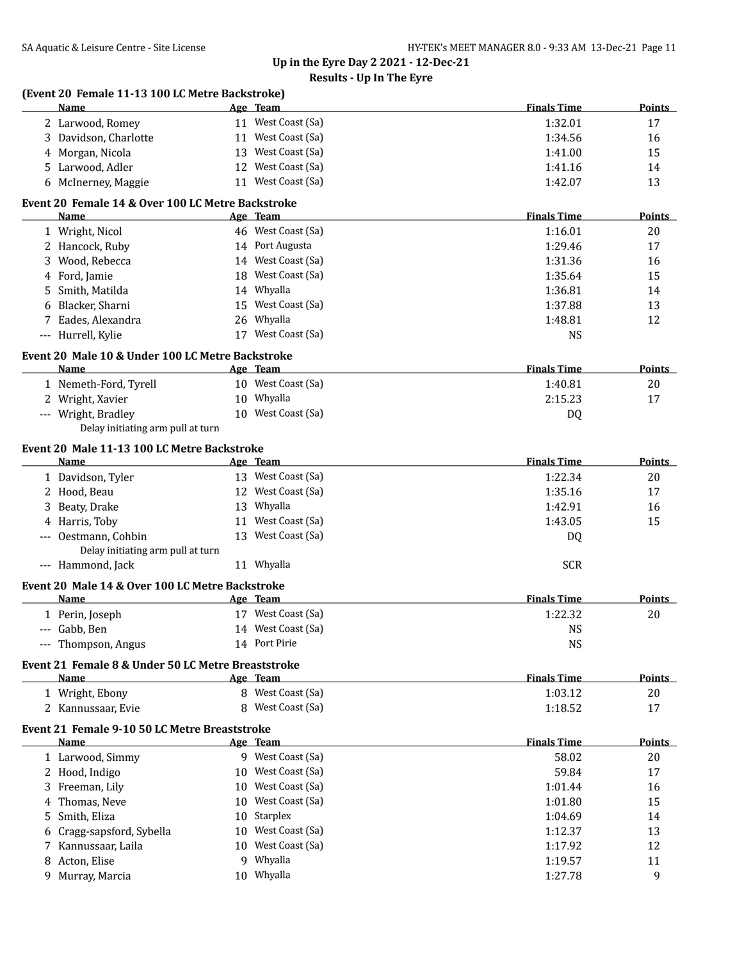| (Event 20 Female 11-13 100 LC Metre Backstroke)<br>Name  | Age Team           | <b>Finals Time</b> | Points        |
|----------------------------------------------------------|--------------------|--------------------|---------------|
| 2 Larwood, Romey                                         | 11 West Coast (Sa) | 1:32.01            | 17            |
| 3 Davidson, Charlotte                                    | 11 West Coast (Sa) | 1:34.56            | 16            |
| 4 Morgan, Nicola                                         | 13 West Coast (Sa) | 1:41.00            | 15            |
| 5 Larwood, Adler                                         | 12 West Coast (Sa) | 1:41.16            | 14            |
| 6 McInerney, Maggie                                      | 11 West Coast (Sa) | 1:42.07            | 13            |
| Event 20 Female 14 & Over 100 LC Metre Backstroke        |                    |                    |               |
| Name                                                     | Age Team           | <b>Finals Time</b> | <b>Points</b> |
| 1 Wright, Nicol                                          | 46 West Coast (Sa) | 1:16.01            | 20            |
| 2 Hancock, Ruby                                          | 14 Port Augusta    | 1:29.46            | 17            |
| 3 Wood, Rebecca                                          | 14 West Coast (Sa) | 1:31.36            | 16            |
| 4 Ford, Jamie                                            | 18 West Coast (Sa) | 1:35.64            | 15            |
| 5 Smith, Matilda                                         | 14 Whyalla         | 1:36.81            | 14            |
| 6 Blacker, Sharni                                        | 15 West Coast (Sa) | 1:37.88            | 13            |
| 7 Eades, Alexandra                                       | 26 Whyalla         | 1:48.81            | 12            |
| --- Hurrell, Kylie                                       | 17 West Coast (Sa) | <b>NS</b>          |               |
| Event 20 Male 10 & Under 100 LC Metre Backstroke         |                    |                    |               |
| Name                                                     | Age Team           | <b>Finals Time</b> | <b>Points</b> |
| 1 Nemeth-Ford, Tyrell                                    | 10 West Coast (Sa) | 1:40.81            | 20            |
| 2 Wright, Xavier                                         | 10 Whyalla         | 2:15.23            | 17            |
| --- Wright, Bradley<br>Delay initiating arm pull at turn | 10 West Coast (Sa) | DQ                 |               |
| Event 20 Male 11-13 100 LC Metre Backstroke              |                    |                    |               |
| <b>Name</b>                                              | Age Team           | <b>Finals Time</b> | Points        |
| 1 Davidson, Tyler                                        | 13 West Coast (Sa) | 1:22.34            | 20            |
| 2 Hood, Beau                                             | 12 West Coast (Sa) | 1:35.16            | 17            |
| 3 Beaty, Drake                                           | 13 Whyalla         | 1:42.91            | 16            |
| 4 Harris, Toby                                           | 11 West Coast (Sa) | 1:43.05            | 15            |
| --- Oestmann, Cohbin                                     | 13 West Coast (Sa) | DQ                 |               |
| Delay initiating arm pull at turn<br>--- Hammond, Jack   | 11 Whyalla         | <b>SCR</b>         |               |
| Event 20 Male 14 & Over 100 LC Metre Backstroke          |                    |                    |               |
| Name                                                     | Age Team           | <b>Finals Time</b> | <b>Points</b> |
| 1 Perin, Joseph                                          | 17 West Coast (Sa) | 1:22.32            | 20            |
| --- Gabb. Ben                                            | 14 West Coast (Sa) | <b>NS</b>          |               |
| --- Thompson, Angus                                      | 14 Port Pirie      | <b>NS</b>          |               |
| Event 21 Female 8 & Under 50 LC Metre Breaststroke       |                    |                    |               |
| <u>Name</u>                                              | Age Team           | <b>Finals Time</b> | <b>Points</b> |
| 1 Wright, Ebony                                          | 8 West Coast (Sa)  | 1:03.12            | 20            |
| 2 Kannussaar, Evie                                       | 8 West Coast (Sa)  | 1:18.52            | 17            |
| Event 21 Female 9-10 50 LC Metre Breaststroke            |                    |                    |               |
| Name                                                     | Age Team           | <b>Finals Time</b> | <b>Points</b> |
| 1 Larwood, Simmy                                         | 9 West Coast (Sa)  | 58.02              | 20            |
| 2 Hood, Indigo                                           | 10 West Coast (Sa) | 59.84              | 17            |
| 3 Freeman, Lily                                          | 10 West Coast (Sa) | 1:01.44            | 16            |
| 4 Thomas, Neve                                           | 10 West Coast (Sa) | 1:01.80            | 15            |
| 5 Smith, Eliza                                           | 10 Starplex        | 1:04.69            | 14            |
| 6 Cragg-sapsford, Sybella                                | 10 West Coast (Sa) | 1:12.37            | 13            |
| 7 Kannussaar, Laila                                      | 10 West Coast (Sa) | 1:17.92            | 12            |
| 8 Acton, Elise                                           | 9 Whyalla          | 1:19.57            | 11            |
| 9 Murray, Marcia                                         | 10 Whyalla         | 1:27.78            | 9             |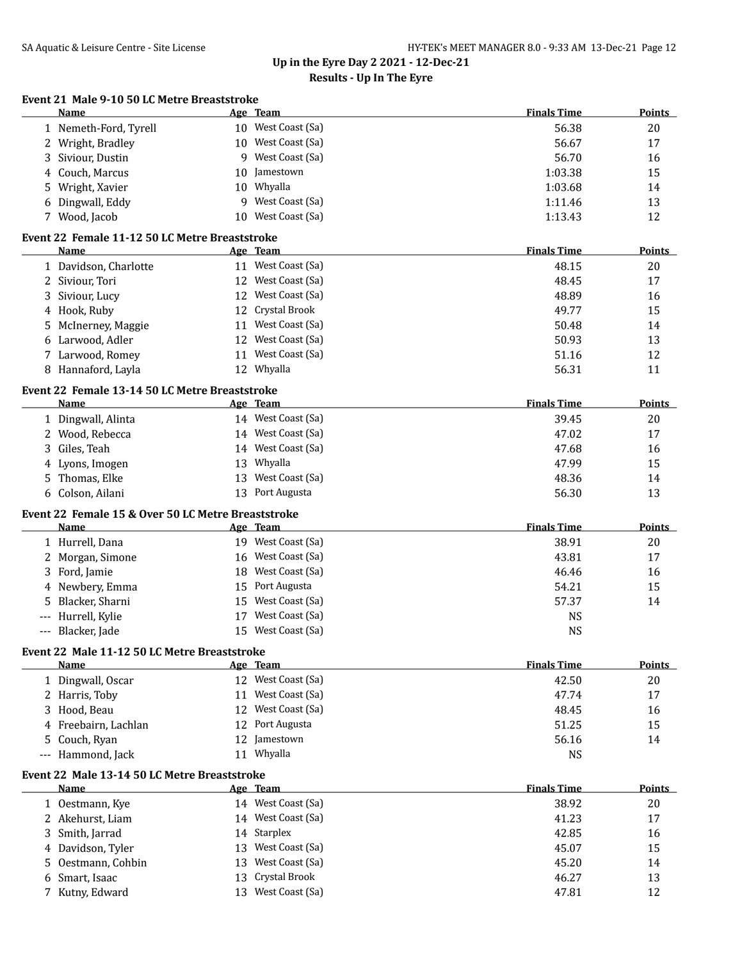| Event 21 Male 9-10 50 LC Metre Breaststroke |         |  |  |                       |  |
|---------------------------------------------|---------|--|--|-----------------------|--|
|                                             | $N = 0$ |  |  | $\Lambda_{\infty}$ T. |  |

|    | Name                                                          |    | Age Team           | <b>Finals Time</b> | <b>Points</b> |
|----|---------------------------------------------------------------|----|--------------------|--------------------|---------------|
|    | 1 Nemeth-Ford, Tyrell                                         |    | 10 West Coast (Sa) | 56.38              | 20            |
| 2  | Wright, Bradley                                               | 10 | West Coast (Sa)    | 56.67              | 17            |
| 3  | Siviour, Dustin                                               | 9  | West Coast (Sa)    | 56.70              | 16            |
| 4  | Couch, Marcus                                                 | 10 | Jamestown          | 1:03.38            | 15            |
| 5  | Wright, Xavier                                                | 10 | Whyalla            | 1:03.68            | 14            |
| 6  | Dingwall, Eddy                                                | 9  | West Coast (Sa)    | 1:11.46            | 13            |
|    | 7 Wood, Jacob                                                 | 10 | West Coast (Sa)    | 1:13.43            | 12            |
|    | Event 22 Female 11-12 50 LC Metre Breaststroke                |    |                    |                    |               |
|    | Name                                                          |    | <u>Age Team</u>    | <b>Finals Time</b> | <b>Points</b> |
|    | 1 Davidson, Charlotte                                         |    | 11 West Coast (Sa) | 48.15              | 20            |
| 2  | Siviour, Tori                                                 |    | 12 West Coast (Sa) | 48.45              | 17            |
| 3  | Siviour, Lucy                                                 |    | 12 West Coast (Sa) | 48.89              | 16            |
| 4  | Hook, Ruby                                                    | 12 | Crystal Brook      | 49.77              | 15            |
| 5  | McInerney, Maggie                                             | 11 | West Coast (Sa)    | 50.48              | 14            |
| 6  | Larwood, Adler                                                |    | 12 West Coast (Sa) | 50.93              | 13            |
|    | 7 Larwood, Romey                                              |    | 11 West Coast (Sa) | 51.16              | 12            |
|    | 8 Hannaford, Layla                                            |    | 12 Whyalla         | 56.31              | 11            |
|    |                                                               |    |                    |                    |               |
|    | Event 22 Female 13-14 50 LC Metre Breaststroke<br><b>Name</b> |    | Age Team           | <b>Finals Time</b> | <b>Points</b> |
|    | 1 Dingwall, Alinta                                            |    | 14 West Coast (Sa) | 39.45              | 20            |
|    | 2 Wood, Rebecca                                               |    | 14 West Coast (Sa) | 47.02              | 17            |
| 3  | Giles, Teah                                                   |    | 14 West Coast (Sa) | 47.68              | 16            |
| 4  | Lyons, Imogen                                                 | 13 | Whyalla            | 47.99              | 15            |
| 5. | Thomas, Elke                                                  | 13 | West Coast (Sa)    | 48.36              | 14            |
|    | 6 Colson, Ailani                                              |    | 13 Port Augusta    | 56.30              | 13            |
|    | Event 22 Female 15 & Over 50 LC Metre Breaststroke            |    |                    |                    |               |
|    | <b>Name</b>                                                   |    | Age Team           | <b>Finals Time</b> | <b>Points</b> |
|    | 1 Hurrell, Dana                                               |    | 19 West Coast (Sa) | 38.91              | 20            |
| 2  | Morgan, Simone                                                |    | 16 West Coast (Sa) | 43.81              | 17            |
| 3  | Ford, Jamie                                                   |    | 18 West Coast (Sa) | 46.46              | 16            |
| 4  | Newbery, Emma                                                 | 15 | Port Augusta       | 54.21              | 15            |
|    | Blacker, Sharni                                               |    | 15 West Coast (Sa) | 57.37              | 14            |
|    | Hurrell, Kylie                                                | 17 | West Coast (Sa)    | <b>NS</b>          |               |
|    | --- Blacker, Jade                                             |    | 15 West Coast (Sa) | <b>NS</b>          |               |
|    |                                                               |    |                    |                    |               |
|    | Event 22 Male 11-12 50 LC Metre Breaststroke<br><u>Name</u>   |    | Age Team           | <b>Finals Time</b> | Points        |
|    | 1 Dingwall, Oscar                                             |    | 12 West Coast (Sa) | 42.50              | 20            |
|    | 2 Harris, Toby                                                |    | 11 West Coast (Sa) | 47.74              | 17            |
| 3  | Hood, Beau                                                    |    | 12 West Coast (Sa) | 48.45              | 16            |
| 4  | Freebairn, Lachlan                                            |    | 12 Port Augusta    | 51.25              | 15            |
| 5  | Couch, Ryan                                                   |    | 12 Jamestown       | 56.16              | 14            |
|    | Hammond, Jack                                                 |    | 11 Whyalla         | NS                 |               |
|    |                                                               |    |                    |                    |               |
|    | Event 22 Male 13-14 50 LC Metre Breaststroke<br>Name          |    | Age Team           | <b>Finals Time</b> | <b>Points</b> |
|    | 1 Oestmann, Kye                                               |    | 14 West Coast (Sa) | 38.92              | 20            |
|    | 2 Akehurst, Liam                                              |    | 14 West Coast (Sa) | 41.23              | 17            |
| 3  | Smith, Jarrad                                                 |    | 14 Starplex        | 42.85              | 16            |
| 4  | Davidson, Tyler                                               | 13 | West Coast (Sa)    | 45.07              | 15            |
| 5  | Oestmann, Cohbin                                              | 13 | West Coast (Sa)    | 45.20              | 14            |
| 6  | Smart, Isaac                                                  | 13 | Crystal Brook      | 46.27              | 13            |
|    | 7 Kutny, Edward                                               |    | 13 West Coast (Sa) | 47.81              | 12            |
|    |                                                               |    |                    |                    |               |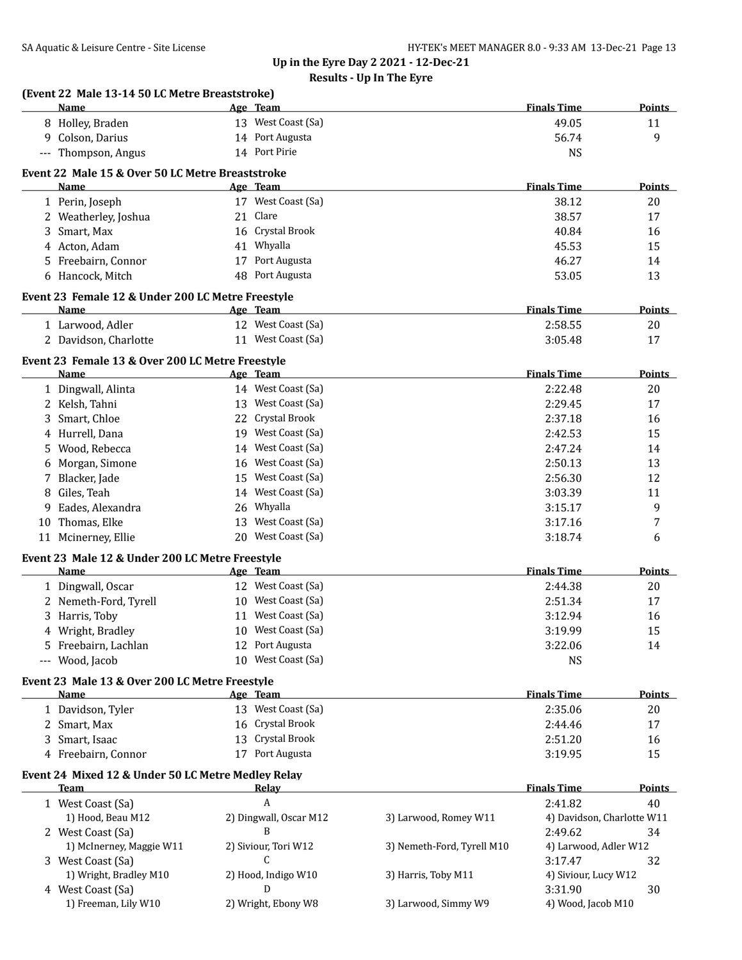| Name                                                     | Age Team                       |                            | <b>Finals Time</b>         | Points        |
|----------------------------------------------------------|--------------------------------|----------------------------|----------------------------|---------------|
| 8 Holley, Braden                                         | 13 West Coast (Sa)             |                            | 49.05                      | 11            |
| 9 Colson, Darius                                         | 14 Port Augusta                |                            | 56.74                      | 9             |
| --- Thompson, Angus                                      | 14 Port Pirie                  |                            | <b>NS</b>                  |               |
|                                                          |                                |                            |                            |               |
| Event 22 Male 15 & Over 50 LC Metre Breaststroke<br>Name | Age Team                       |                            | <b>Finals Time</b>         | <b>Points</b> |
| 1 Perin, Joseph                                          | 17 West Coast (Sa)             |                            | 38.12                      | 20            |
| 2 Weatherley, Joshua                                     | 21 Clare                       |                            | 38.57                      | 17            |
| 3 Smart, Max                                             | 16 Crystal Brook               |                            | 40.84                      | 16            |
| 4 Acton, Adam                                            | 41 Whyalla                     |                            | 45.53                      | 15            |
| 5 Freebairn, Connor                                      | 17 Port Augusta                |                            | 46.27                      | 14            |
| 6 Hancock, Mitch                                         | 48 Port Augusta                |                            | 53.05                      | 13            |
|                                                          |                                |                            |                            |               |
| Event 23 Female 12 & Under 200 LC Metre Freestyle        |                                |                            |                            |               |
| Name                                                     | Age Team                       |                            | <b>Finals Time</b>         | <b>Points</b> |
| 1 Larwood, Adler                                         | 12 West Coast (Sa)             |                            | 2:58.55                    | 20            |
| 2 Davidson, Charlotte                                    | 11 West Coast (Sa)             |                            | 3:05.48                    | 17            |
| Event 23 Female 13 & Over 200 LC Metre Freestyle         |                                |                            |                            |               |
| Name                                                     | <u>Age Team</u>                |                            | <b>Finals Time</b>         | Points        |
| 1 Dingwall, Alinta                                       | 14 West Coast (Sa)             |                            | 2:22.48                    | 20            |
| 2 Kelsh, Tahni                                           | 13 West Coast (Sa)             |                            | 2:29.45                    | 17            |
| 3 Smart, Chloe                                           | 22 Crystal Brook               |                            | 2:37.18                    | 16            |
| 4 Hurrell, Dana                                          | 19 West Coast (Sa)             |                            | 2:42.53                    | 15            |
| 5 Wood, Rebecca                                          | 14 West Coast (Sa)             |                            | 2:47.24                    | 14            |
| 6 Morgan, Simone                                         | 16 West Coast (Sa)             |                            | 2:50.13                    | 13            |
| 7 Blacker, Jade                                          | 15 West Coast (Sa)             |                            | 2:56.30                    | 12            |
| 8 Giles, Teah                                            | 14 West Coast (Sa)             |                            | 3:03.39                    | 11            |
| Eades, Alexandra<br>9                                    | 26 Whyalla                     |                            | 3:15.17                    | 9             |
| 10 Thomas, Elke                                          | 13 West Coast (Sa)             |                            | 3:17.16                    | 7             |
| 11 Mcinerney, Ellie                                      | 20 West Coast (Sa)             |                            | 3:18.74                    | 6             |
| Event 23 Male 12 & Under 200 LC Metre Freestyle          |                                |                            |                            |               |
| Name                                                     | Age Team                       |                            | <b>Finals Time</b>         | <b>Points</b> |
| 1 Dingwall, Oscar                                        | 12 West Coast (Sa)             |                            | 2:44.38                    | 20            |
| 2 Nemeth-Ford, Tyrell                                    | 10 West Coast (Sa)             |                            | 2:51.34                    | 17            |
| 3 Harris, Toby                                           | 11 West Coast (Sa)             |                            | 3:12.94                    | 16            |
| 4 Wright, Bradley                                        | 10 West Coast (Sa)             |                            | 3:19.99                    | 15            |
| 5 Freebairn, Lachlan                                     | 12 Port Augusta                |                            | 3:22.06                    | 14            |
| --- Wood, Jacob                                          | 10 West Coast (Sa)             |                            | <b>NS</b>                  |               |
|                                                          |                                |                            |                            |               |
| Event 23 Male 13 & Over 200 LC Metre Freestyle<br>Name   |                                |                            | <b>Finals Time</b>         | <b>Points</b> |
| 1 Davidson, Tyler                                        | Age Team<br>13 West Coast (Sa) |                            | 2:35.06                    |               |
|                                                          | 16 Crystal Brook               |                            |                            | 20            |
| 2 Smart, Max                                             |                                |                            | 2:44.46                    | 17            |
| 3 Smart, Isaac                                           | 13 Crystal Brook               |                            | 2:51.20                    | 16            |
| 4 Freebairn, Connor                                      | 17 Port Augusta                |                            | 3:19.95                    | 15            |
| Event 24 Mixed 12 & Under 50 LC Metre Medley Relay       |                                |                            |                            |               |
| <b>Team</b>                                              | <u>Relay</u>                   |                            | <b>Finals Time</b>         | <b>Points</b> |
| 1 West Coast (Sa)                                        | A                              |                            | 2:41.82                    | 40            |
| 1) Hood, Beau M12                                        | 2) Dingwall, Oscar M12         | 3) Larwood, Romey W11      | 4) Davidson, Charlotte W11 |               |
| 2 West Coast (Sa)                                        | B                              |                            | 2:49.62                    | 34            |
| 1) McInerney, Maggie W11                                 | 2) Siviour, Tori W12           | 3) Nemeth-Ford, Tyrell M10 | 4) Larwood, Adler W12      |               |
| 3 West Coast (Sa)                                        | C                              |                            | 3:17.47                    | 32            |
| 1) Wright, Bradley M10                                   | 2) Hood, Indigo W10            | 3) Harris, Toby M11        | 4) Siviour, Lucy W12       |               |
| 4 West Coast (Sa)                                        | D                              |                            | 3:31.90                    | 30            |
| 1) Freeman, Lily W10                                     | 2) Wright, Ebony W8            | 3) Larwood, Simmy W9       | 4) Wood, Jacob M10         |               |